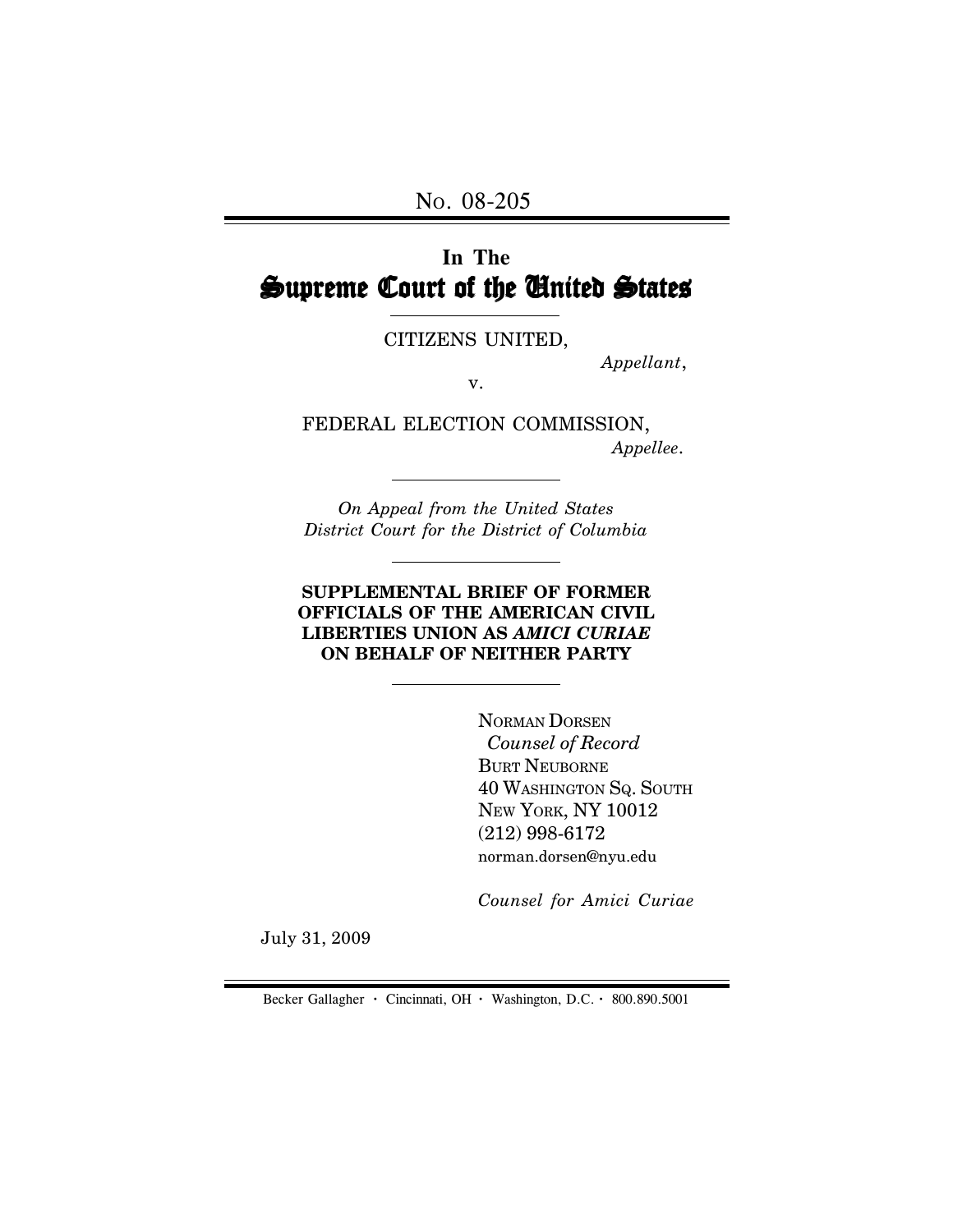# **In The** Supreme Court of the United States

CITIZENS UNITED,

*Appellant*,

v.

FEDERAL ELECTION COMMISSION,  *Appellee*.

*On Appeal from the United States District Court for the District of Columbia*

#### **SUPPLEMENTAL BRIEF OF FORMER OFFICIALS OF THE AMERICAN CIVIL LIBERTIES UNION AS** *AMICI CURIAE* **ON BEHALF OF NEITHER PARTY**

NORMAN DORSEN  *Counsel of Record* BURT NEUBORNE 40 WASHINGTON SQ. SOUTH NEW YORK, NY 10012 (212) 998-6172 norman.dorsen@nyu.edu

*Counsel for Amici Curiae*

July 31, 2009

Becker Gallagher **·** Cincinnati, OH **·** Washington, D.C. **·** 800.890.5001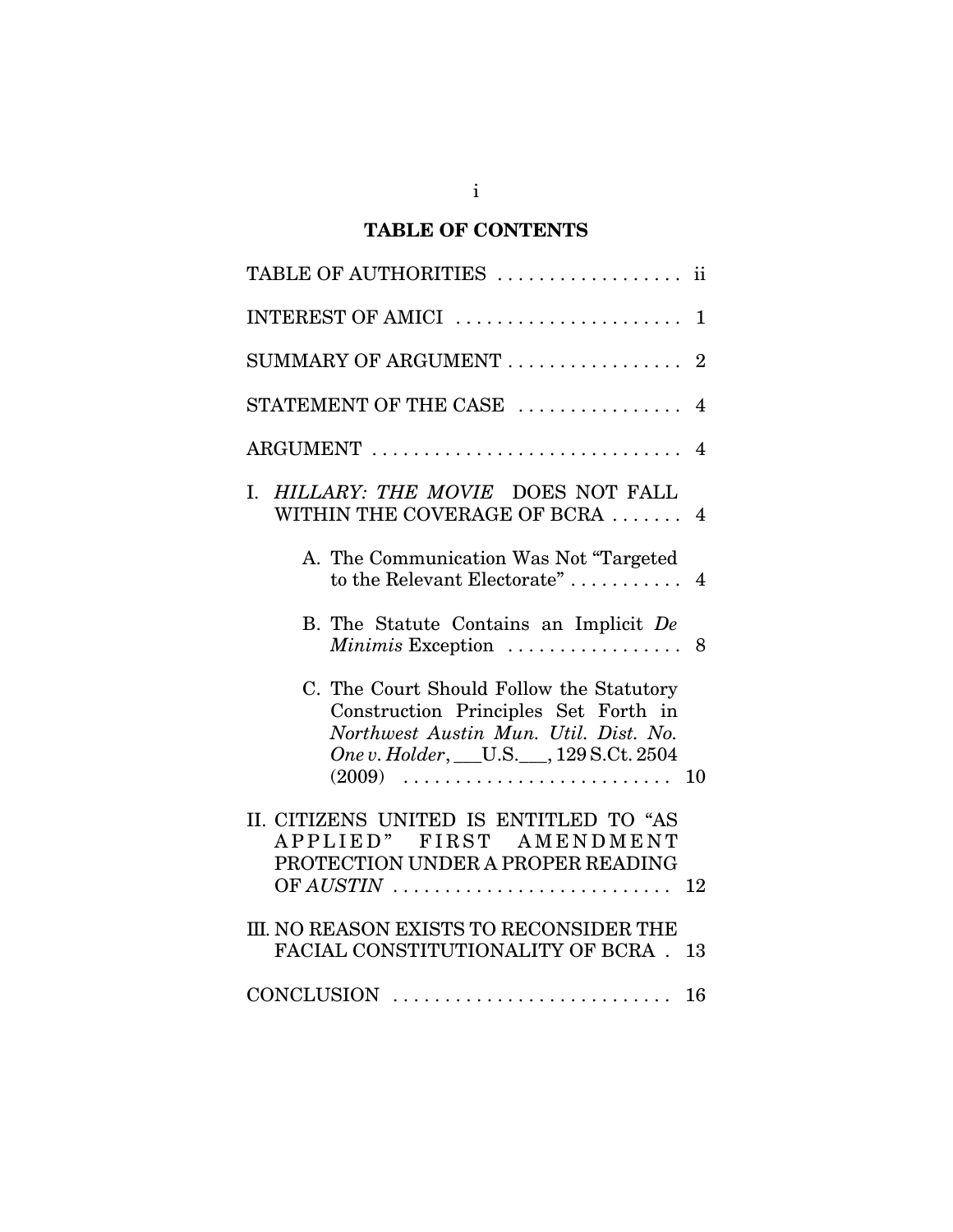# **TABLE OF CONTENTS**

| TABLE OF AUTHORITIES<br>11                                                                                                                                      |
|-----------------------------------------------------------------------------------------------------------------------------------------------------------------|
|                                                                                                                                                                 |
| SUMMARY OF ARGUMENT<br>$\overline{2}$                                                                                                                           |
| STATEMENT OF THE CASE<br>4                                                                                                                                      |
|                                                                                                                                                                 |
| I. HILLARY: THE MOVIE DOES NOT FALL<br>WITHIN THE COVERAGE OF BCRA<br>4                                                                                         |
| A. The Communication Was Not "Targeted"<br>to the Relevant Electorate"<br>$\overline{4}$                                                                        |
| B. The Statute Contains an Implicit De<br>Minimis Exception<br>8                                                                                                |
| C. The Court Should Follow the Statutory<br>Construction Principles Set Forth in<br>Northwest Austin Mun. Util. Dist. No.<br>One v. Holder, U.S. 129 S.Ct. 2504 |
| II. CITIZENS UNITED IS ENTITLED TO "AS<br>APPLIED" FIRST AMENDMENT<br>PROTECTION UNDER A PROPER READING<br>OF $AUSTIN$<br>12                                    |
| III. NO REASON EXISTS TO RECONSIDER THE<br>FACIAL CONSTITUTIONALITY OF BCRA.<br>13                                                                              |
|                                                                                                                                                                 |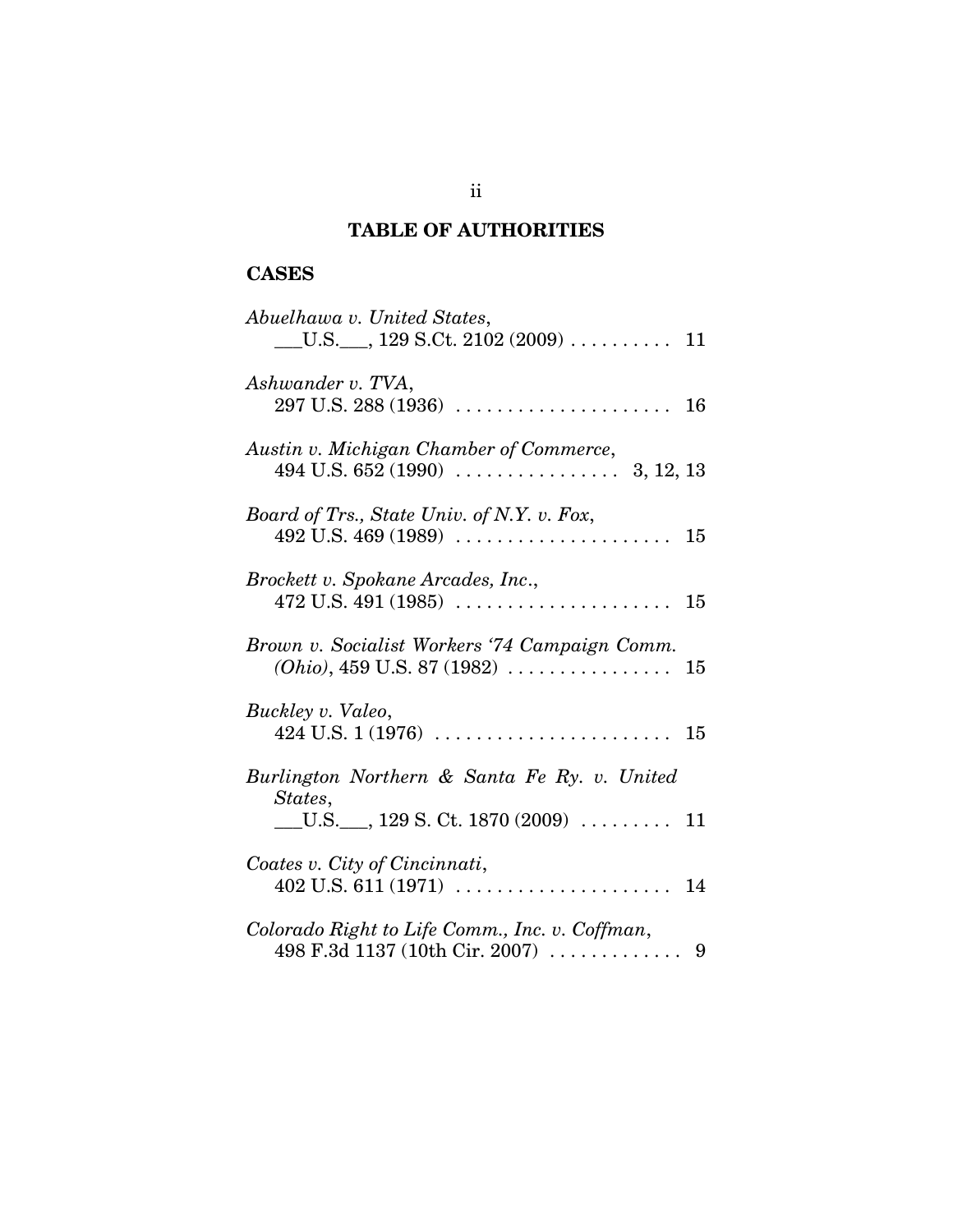# **TABLE OF AUTHORITIES**

# **CASES**

| Abuelhawa v. United States,                                                                                 |    |
|-------------------------------------------------------------------------------------------------------------|----|
| Ashwander v. TVA,                                                                                           |    |
| Austin v. Michigan Chamber of Commerce,                                                                     |    |
| Board of Trs., State Univ. of N.Y. v. Fox,                                                                  |    |
| Brockett v. Spokane Arcades, Inc.,                                                                          |    |
| Brown v. Socialist Workers '74 Campaign Comm.<br>$(Ohio), 459$ U.S. 87 (1982) $\ldots \ldots \ldots \ldots$ | 15 |
| Buckley v. Valeo,                                                                                           |    |
| Burlington Northern & Santa Fe Ry. v. United                                                                |    |
| States,<br>$\underline{\hspace{1cm}}$ U.S. $\underline{\hspace{1cm}}$ , 129 S. Ct. 1870 (2009)  11          |    |
| Coates v. City of Cincinnati,                                                                               |    |
| Colorado Right to Life Comm., Inc. v. Coffman,<br>498 F.3d 1137 (10th Cir. 2007) $\ldots \ldots \ldots$ 9   |    |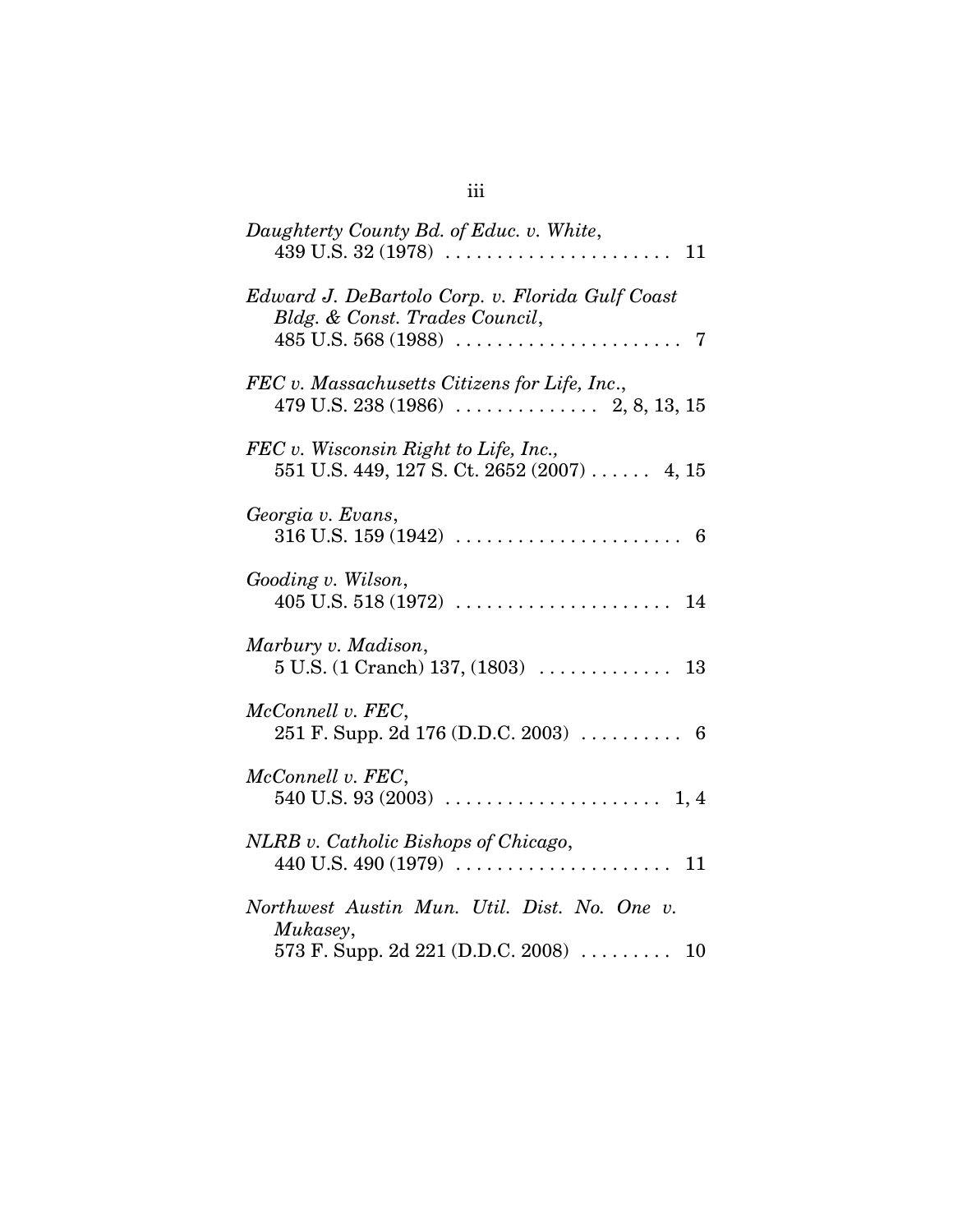| Daughterty County Bd. of Educ. v. White,                                                                  |
|-----------------------------------------------------------------------------------------------------------|
| Edward J. DeBartolo Corp. v. Florida Gulf Coast<br>Bldg. & Const. Trades Council,                         |
| FEC v. Massachusetts Citizens for Life, Inc.,                                                             |
| FEC v. Wisconsin Right to Life, Inc.,<br>$551$ U.S. 449, 127 S. Ct. 2652 (2007)  4, 15                    |
| Georgia v. Evans,                                                                                         |
| Gooding v. Wilson,                                                                                        |
| Marbury v. Madison,                                                                                       |
| McConnell v. FEC,<br>251 F. Supp. 2d 176 (D.D.C. 2003) $\ldots$ 6                                         |
| McConnell v. FEC,                                                                                         |
| NLRB v. Catholic Bishops of Chicago,                                                                      |
| Northwest Austin Mun. Util. Dist. No. One v.<br>Mukasey,<br>573 F. Supp. 2d 221 (D.D.C. 2008) $\ldots$ 10 |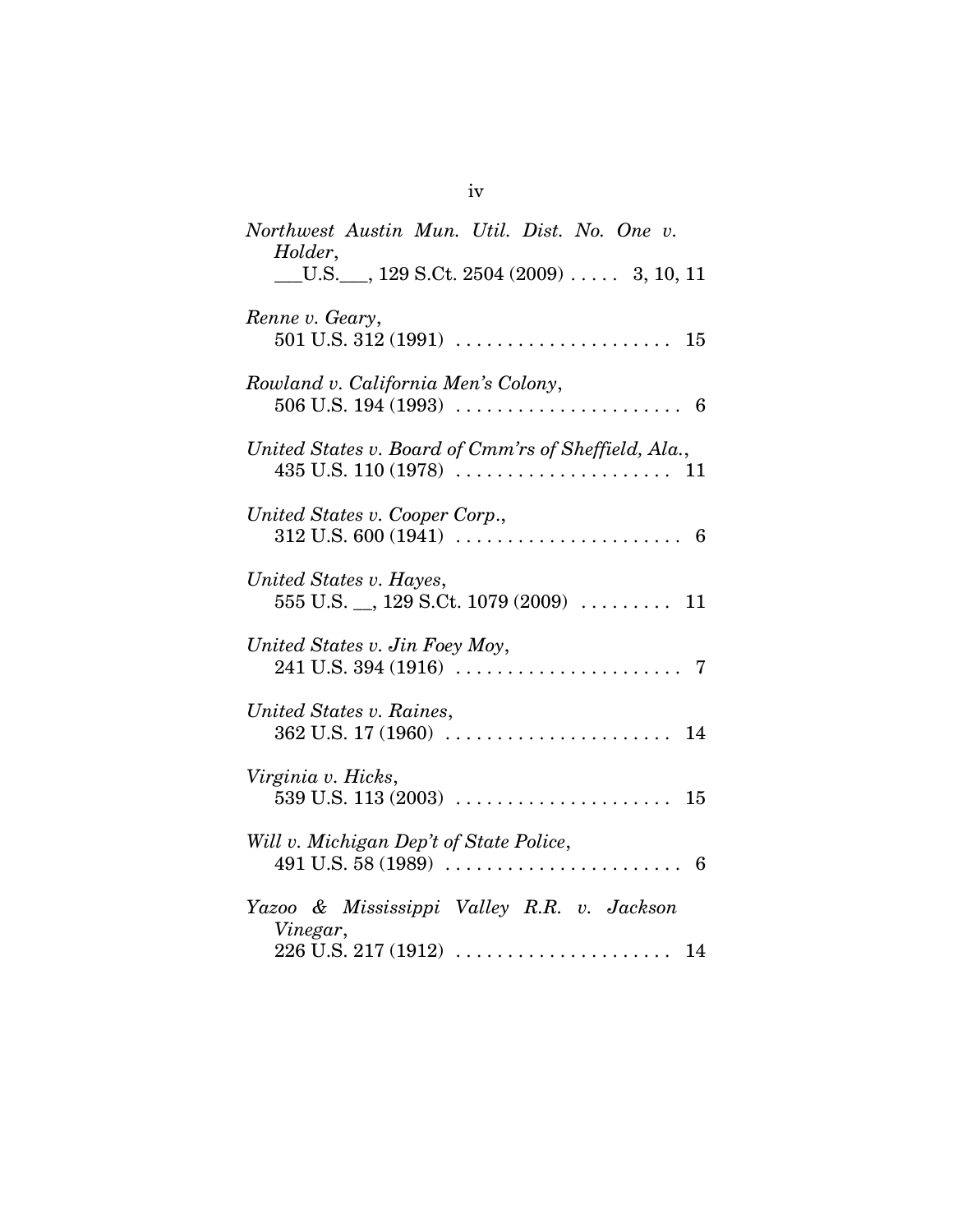| Northwest Austin Mun. Util. Dist. No. One v.<br>Holder,                                |
|----------------------------------------------------------------------------------------|
| $\underline{\hspace{1cm}}$ U.S. ___, 129 S.Ct. 2504 (2009)  3, 10, 11                  |
| Renne v. Geary,                                                                        |
| Rowland v. California Men's Colony,                                                    |
| United States v. Board of Cmm'rs of Sheffield, Ala.,                                   |
| United States v. Cooper Corp.,                                                         |
| United States v. Hayes,<br>$555$ U.S. $\_,$ 129 S.Ct. 1079 (2009)  11                  |
| United States v. Jin Foey Moy,                                                         |
| United States v. Raines,                                                               |
| Virginia v. Hicks,                                                                     |
| Will v. Michigan Dep't of State Police,                                                |
| Yazoo & Mississippi Valley R.R. v. Jackson<br>Vinegar,<br>$226$ U.S. $217(1912)$<br>14 |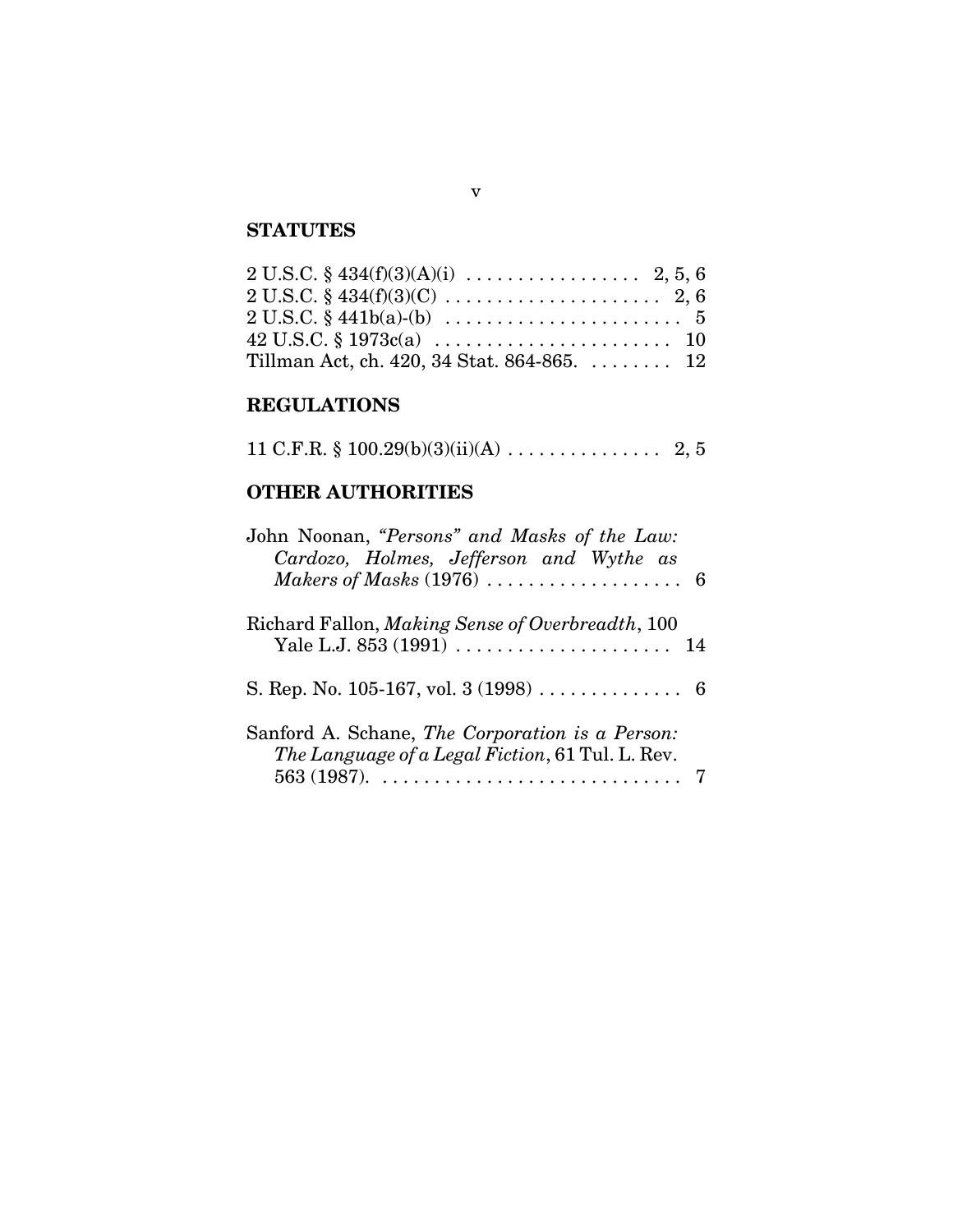# **STATUTES**

| $2 U.S.C. § 434(f)(3)(C) \ldots \ldots \ldots \ldots \ldots \ldots 2, 6$ |  |
|--------------------------------------------------------------------------|--|
| $2 U.S.C. § 441b(a)-(b) \ldots \ldots \ldots \ldots \ldots \ldots 5$     |  |
|                                                                          |  |
| Tillman Act, ch. 420, 34 Stat. 864-865.  12                              |  |

# **REGULATIONS**

|  |  | 11 C.F.R. $\S$ 100.29(b)(3)(ii)(A) | 2, 5 |  |
|--|--|------------------------------------|------|--|
|--|--|------------------------------------|------|--|

# **OTHER AUTHORITIES**

| John Noonan, "Persons" and Masks of the Law:     |  |
|--------------------------------------------------|--|
| Cardozo, Holmes, Jefferson and Wythe as          |  |
|                                                  |  |
|                                                  |  |
| Richard Fallon, Making Sense of Overbreadth, 100 |  |
|                                                  |  |
|                                                  |  |
|                                                  |  |
|                                                  |  |
| Sanford A. Schane, The Corporation is a Person:  |  |
| The Language of a Legal Fiction, 61 Tul. L. Rev. |  |
|                                                  |  |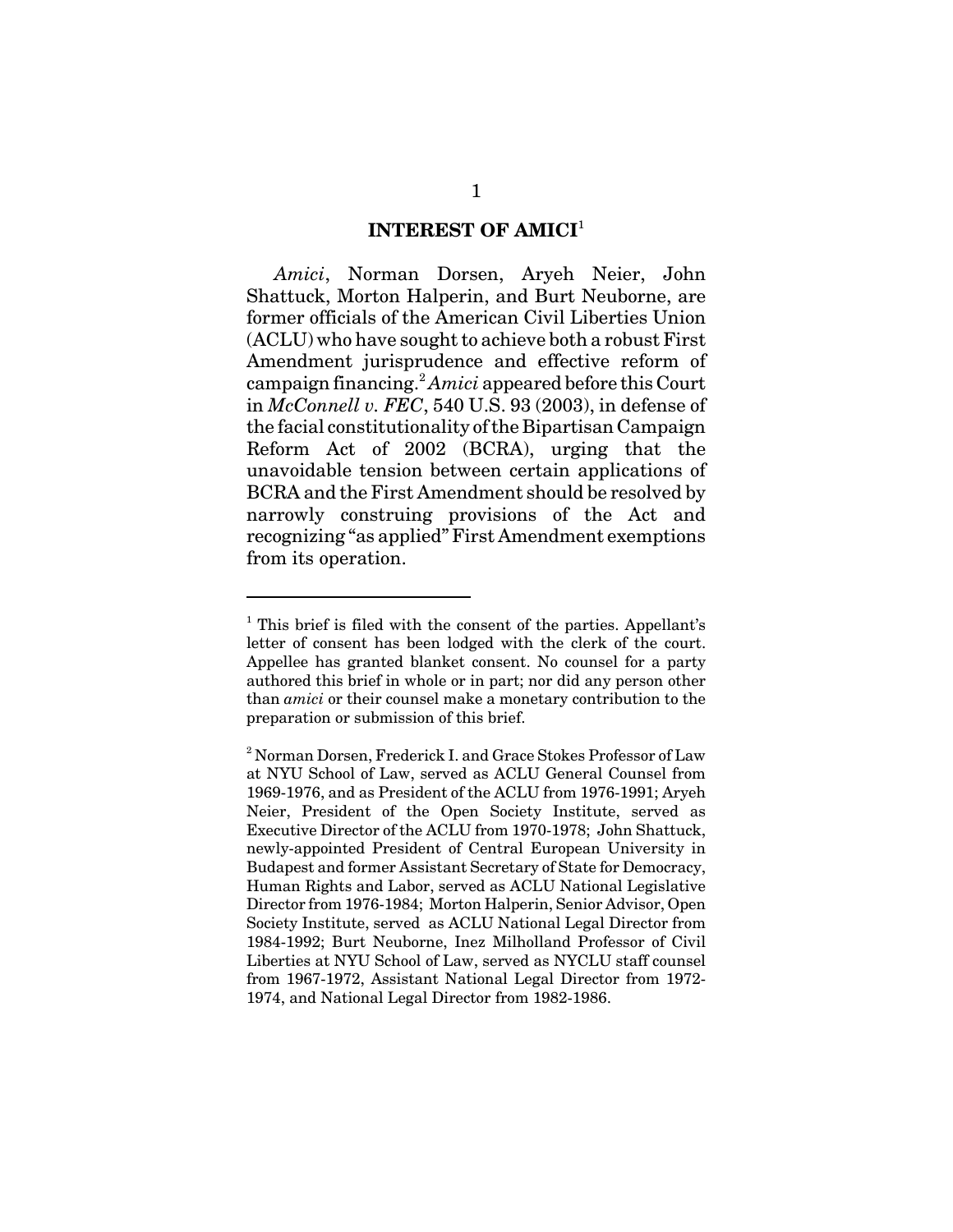#### **INTEREST OF AMICI**<sup>1</sup>

*Amici*, Norman Dorsen, Aryeh Neier, John Shattuck, Morton Halperin, and Burt Neuborne, are former officials of the American Civil Liberties Union (ACLU) who have sought to achieve both a robust First Amendment jurisprudence and effective reform of campaign financing.<sup>2</sup> *Amici* appeared before this Court in *McConnell v. FEC*, 540 U.S. 93 (2003), in defense of the facial constitutionality of the Bipartisan Campaign Reform Act of 2002 (BCRA), urging that the unavoidable tension between certain applications of BCRA and the First Amendment should be resolved by narrowly construing provisions of the Act and recognizing "as applied" First Amendment exemptions from its operation.

<sup>&</sup>lt;sup>1</sup> This brief is filed with the consent of the parties. Appellant's letter of consent has been lodged with the clerk of the court. Appellee has granted blanket consent. No counsel for a party authored this brief in whole or in part; nor did any person other than *amici* or their counsel make a monetary contribution to the preparation or submission of this brief.

 $^2$ Norman Dorsen, Frederick I. and Grace Stokes Professor of Law at NYU School of Law, served as ACLU General Counsel from 1969-1976, and as President of the ACLU from 1976-1991; Aryeh Neier, President of the Open Society Institute, served as Executive Director of the ACLU from 1970-1978; John Shattuck, newly-appointed President of Central European University in Budapest and former Assistant Secretary of State for Democracy, Human Rights and Labor, served as ACLU National Legislative Director from 1976-1984; Morton Halperin, Senior Advisor, Open Society Institute, served as ACLU National Legal Director from 1984-1992; Burt Neuborne, Inez Milholland Professor of Civil Liberties at NYU School of Law, served as NYCLU staff counsel from 1967-1972, Assistant National Legal Director from 1972- 1974, and National Legal Director from 1982-1986.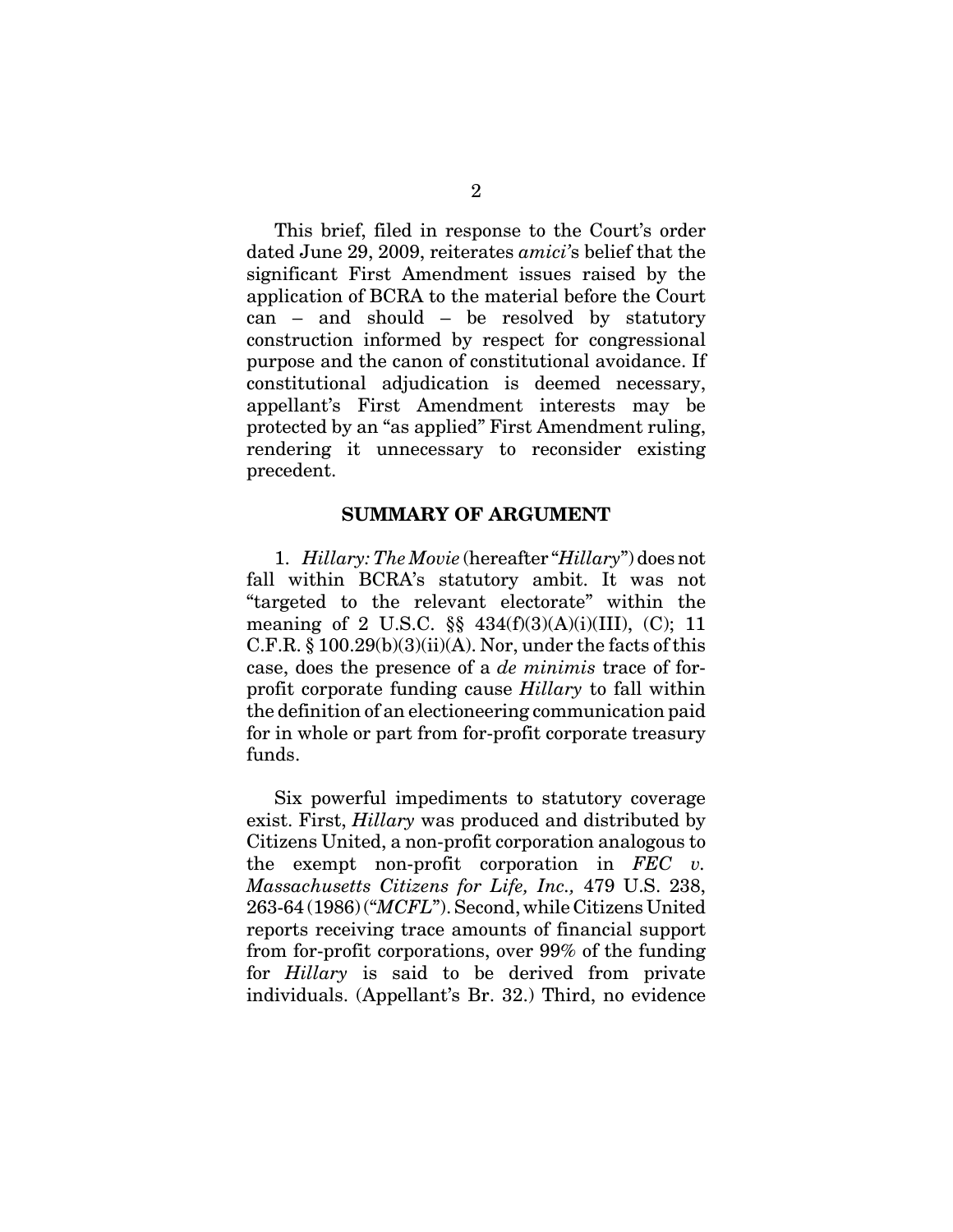This brief, filed in response to the Court's order dated June 29, 2009, reiterates *amici'*s belief that the significant First Amendment issues raised by the application of BCRA to the material before the Court can – and should – be resolved by statutory construction informed by respect for congressional purpose and the canon of constitutional avoidance. If constitutional adjudication is deemed necessary, appellant's First Amendment interests may be protected by an "as applied" First Amendment ruling, rendering it unnecessary to reconsider existing precedent.

#### **SUMMARY OF ARGUMENT**

1. *Hillary: The Movie* (hereafter "*Hillary*") does not fall within BCRA's statutory ambit. It was not "targeted to the relevant electorate" within the meaning of 2 U.S.C. §§ 434(f)(3)(A)(i)(III), (C); 11 C.F.R.  $\S 100.29(b)(3)(ii)(A)$ . Nor, under the facts of this case, does the presence of a *de minimis* trace of forprofit corporate funding cause *Hillary* to fall within the definition of an electioneering communication paid for in whole or part from for-profit corporate treasury funds.

Six powerful impediments to statutory coverage exist. First, *Hillary* was produced and distributed by Citizens United, a non-profit corporation analogous to the exempt non-profit corporation in *FEC v. Massachusetts Citizens for Life, Inc.,* 479 U.S. 238, 263-64 (1986) ("*MCFL*"). Second, while Citizens United reports receiving trace amounts of financial support from for-profit corporations, over 99% of the funding for *Hillary* is said to be derived from private individuals. (Appellant's Br. 32.) Third, no evidence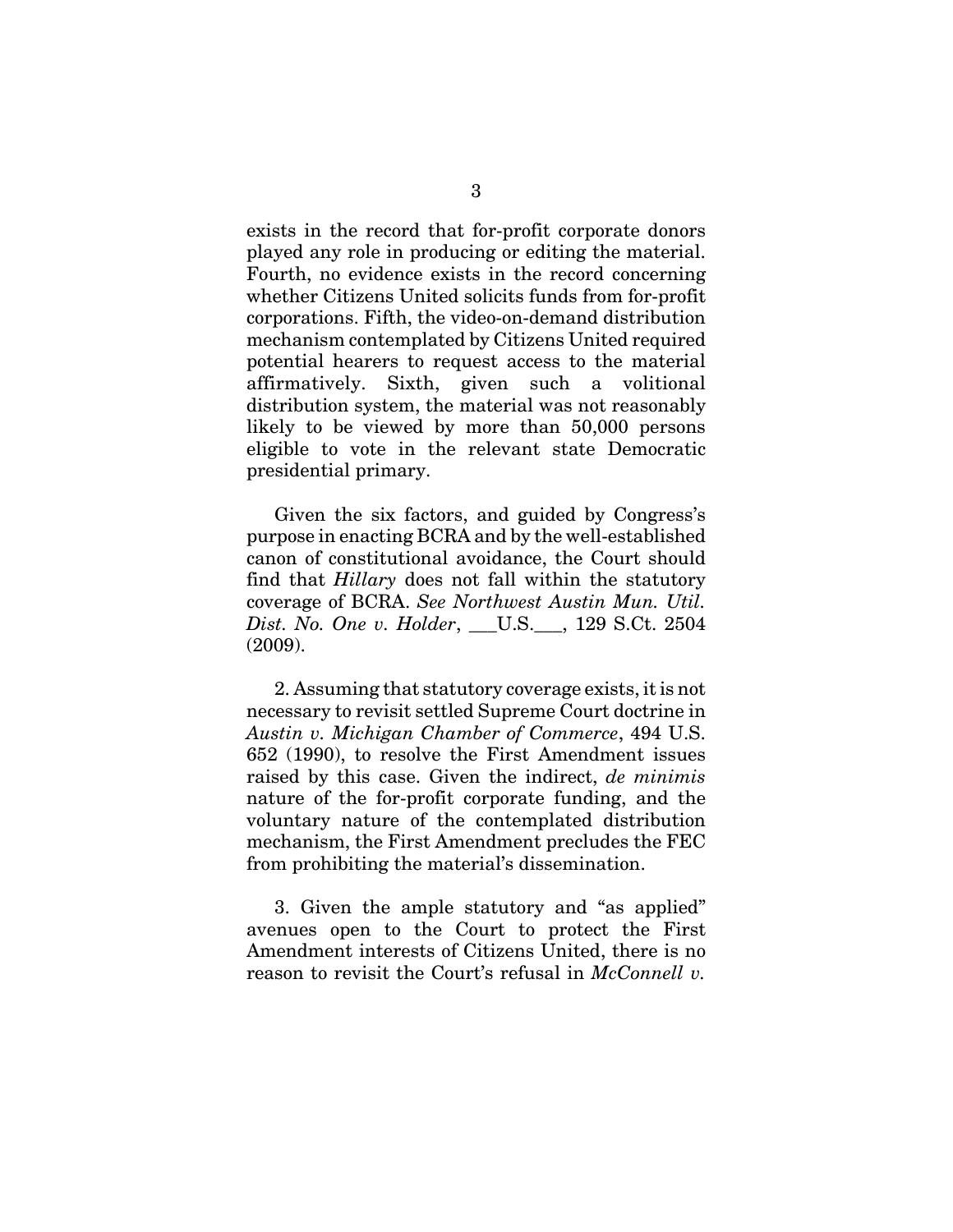exists in the record that for-profit corporate donors played any role in producing or editing the material. Fourth, no evidence exists in the record concerning whether Citizens United solicits funds from for-profit corporations. Fifth, the video-on-demand distribution mechanism contemplated by Citizens United required potential hearers to request access to the material affirmatively. Sixth, given such a volitional distribution system, the material was not reasonably likely to be viewed by more than 50,000 persons eligible to vote in the relevant state Democratic presidential primary.

Given the six factors, and guided by Congress's purpose in enacting BCRA and by the well-established canon of constitutional avoidance, the Court should find that *Hillary* does not fall within the statutory coverage of BCRA. *See Northwest Austin Mun. Util. Dist. No. One v. Holder*, \_\_\_U.S.\_\_\_, 129 S.Ct. 2504 (2009).

2. Assuming that statutory coverage exists, it is not necessary to revisit settled Supreme Court doctrine in *Austin v. Michigan Chamber of Commerce*, 494 U.S. 652 (1990), to resolve the First Amendment issues raised by this case. Given the indirect, *de minimis* nature of the for-profit corporate funding, and the voluntary nature of the contemplated distribution mechanism, the First Amendment precludes the FEC from prohibiting the material's dissemination.

3. Given the ample statutory and "as applied" avenues open to the Court to protect the First Amendment interests of Citizens United, there is no reason to revisit the Court's refusal in *McConnell v.*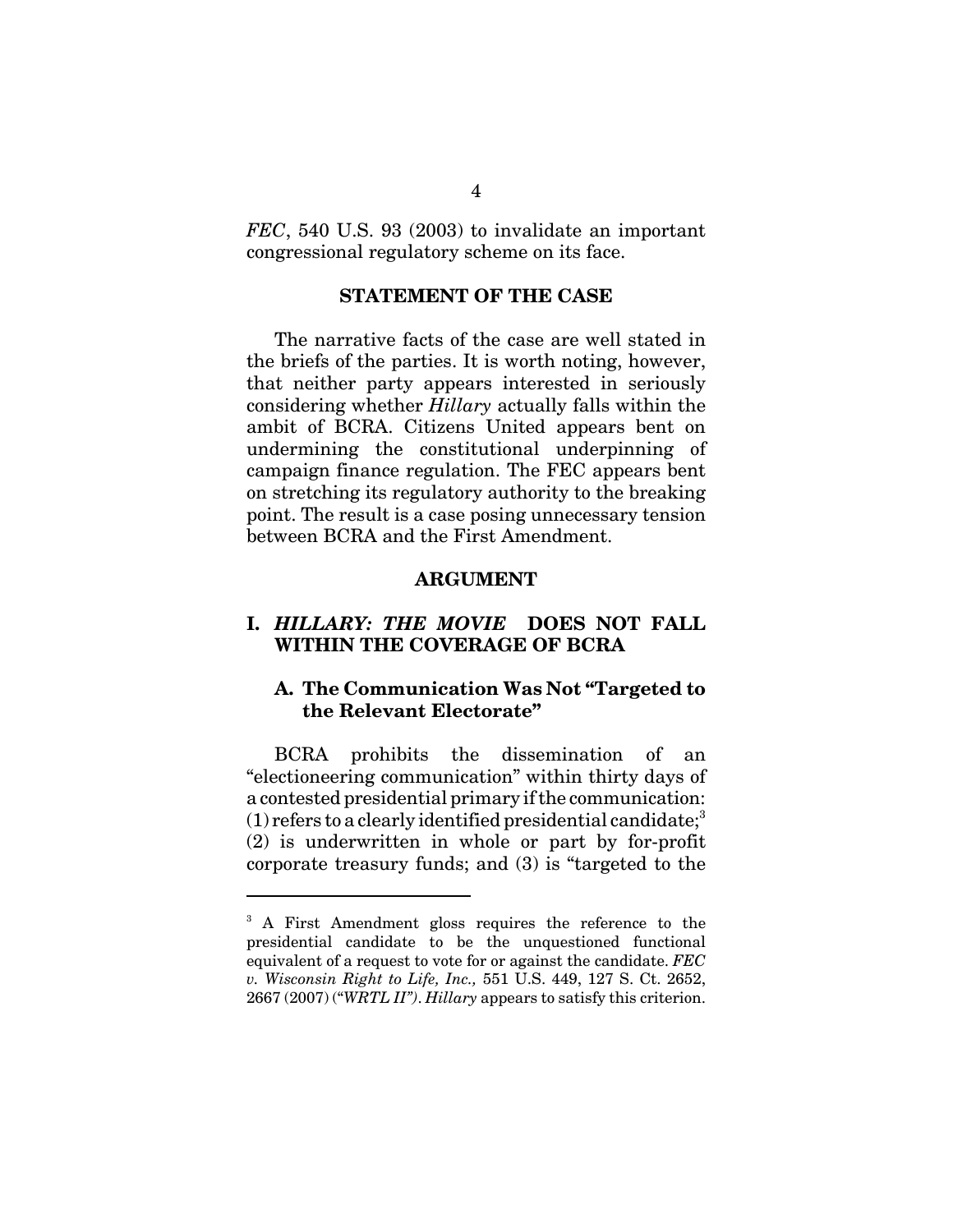*FEC*, 540 U.S. 93 (2003) to invalidate an important congressional regulatory scheme on its face.

#### **STATEMENT OF THE CASE**

The narrative facts of the case are well stated in the briefs of the parties. It is worth noting, however, that neither party appears interested in seriously considering whether *Hillary* actually falls within the ambit of BCRA. Citizens United appears bent on undermining the constitutional underpinning of campaign finance regulation. The FEC appears bent on stretching its regulatory authority to the breaking point. The result is a case posing unnecessary tension between BCRA and the First Amendment.

#### **ARGUMENT**

### **I.** *HILLARY: THE MOVIE* **DOES NOT FALL WITHIN THE COVERAGE OF BCRA**

### **A. The Communication Was Not "Targeted to the Relevant Electorate"**

BCRA prohibits the dissemination of an "electioneering communication" within thirty days of a contested presidential primary if the communication:  $(1)$  refers to a clearly identified presidential candidate;<sup>3</sup> (2) is underwritten in whole or part by for-profit corporate treasury funds; and (3) is "targeted to the

<sup>&</sup>lt;sup>3</sup> A First Amendment gloss requires the reference to the presidential candidate to be the unquestioned functional equivalent of a request to vote for or against the candidate. *FEC v. Wisconsin Right to Life, Inc.,* 551 U.S. 449, 127 S. Ct. 2652, 2667 (2007) ("*WRTL II")*. *Hillary* appears to satisfy this criterion.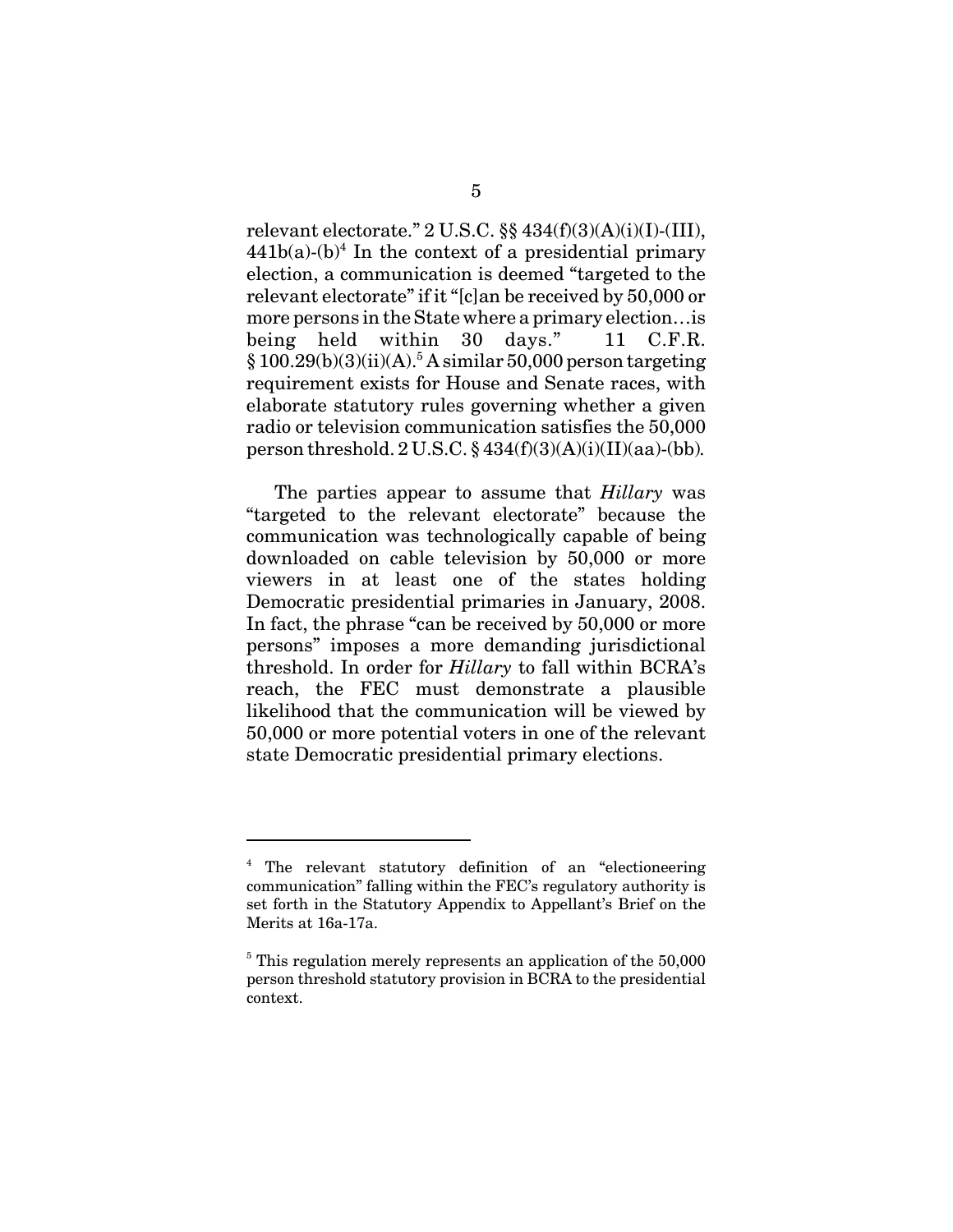relevant electorate." 2 U.S.C. §§ 434(f)(3)(A)(i)(I)-(III),  $441b(a)-(b)^4$  In the context of a presidential primary election, a communication is deemed "targeted to the relevant electorate" if it "[c]an be received by 50,000 or more persons in the State where a primary election…is being held within 30 days." 11 C.F.R.  $§ 100.29(b)(3)(ii)(A).$ <sup>5</sup> A similar 50,000 person targeting requirement exists for House and Senate races, with elaborate statutory rules governing whether a given radio or television communication satisfies the 50,000 person threshold. 2 U.S.C. § 434(f)(3)(A)(i)(II)(aa)-(bb)*.*

The parties appear to assume that *Hillary* was "targeted to the relevant electorate" because the communication was technologically capable of being downloaded on cable television by 50,000 or more viewers in at least one of the states holding Democratic presidential primaries in January, 2008. In fact, the phrase "can be received by 50,000 or more persons" imposes a more demanding jurisdictional threshold. In order for *Hillary* to fall within BCRA's reach, the FEC must demonstrate a plausible likelihood that the communication will be viewed by 50,000 or more potential voters in one of the relevant state Democratic presidential primary elections.

<sup>4</sup> The relevant statutory definition of an "electioneering communication" falling within the FEC's regulatory authority is set forth in the Statutory Appendix to Appellant's Brief on the Merits at 16a-17a.

<sup>&</sup>lt;sup>5</sup> This regulation merely represents an application of the 50,000 person threshold statutory provision in BCRA to the presidential context.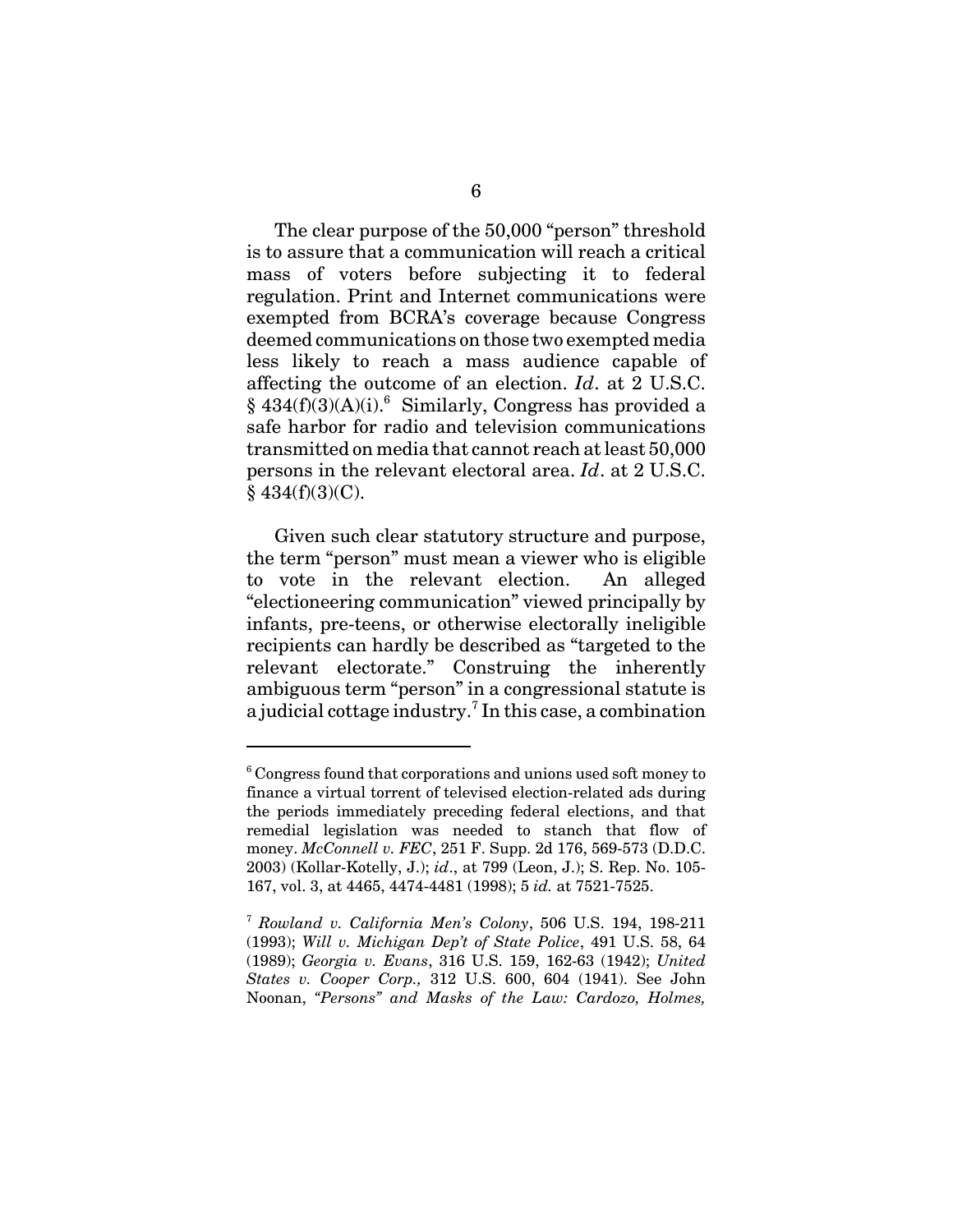The clear purpose of the 50,000 "person" threshold is to assure that a communication will reach a critical mass of voters before subjecting it to federal regulation. Print and Internet communications were exempted from BCRA's coverage because Congress deemed communications on those two exempted media less likely to reach a mass audience capable of affecting the outcome of an election. *Id*. at 2 U.S.C.  $§$  434(f)(3)(A)(i).<sup>6</sup> Similarly, Congress has provided a safe harbor for radio and television communications transmitted on media that cannot reach at least 50,000 persons in the relevant electoral area. *Id*. at 2 U.S.C.  $§$  434(f)(3)(C).

Given such clear statutory structure and purpose, the term "person" must mean a viewer who is eligible to vote in the relevant election. An alleged "electioneering communication" viewed principally by infants, pre-teens, or otherwise electorally ineligible recipients can hardly be described as "targeted to the relevant electorate." Construing the inherently ambiguous term "person" in a congressional statute is a judicial cottage industry.<sup>7</sup> In this case, a combination

<sup>&</sup>lt;sup>6</sup> Congress found that corporations and unions used soft money to finance a virtual torrent of televised election-related ads during the periods immediately preceding federal elections, and that remedial legislation was needed to stanch that flow of money. *McConnell v. FEC*, 251 F. Supp. 2d 176, 569-573 (D.D.C. 2003) (Kollar-Kotelly, J.); *id*., at 799 (Leon, J.); S. Rep. No. 105- 167, vol. 3, at 4465, 4474-4481 (1998); 5 *id.* at 7521-7525.

<sup>7</sup> *Rowland v. California Men's Colony*, 506 U.S. 194, 198-211 (1993); *Will v. Michigan Dep't of State Police*, 491 U.S. 58, 64 (1989); *Georgia v. Evans*, 316 U.S. 159, 162-63 (1942); *United States v. Cooper Corp.,* 312 U.S. 600, 604 (1941). See John Noonan, *"Persons" and Masks of the Law: Cardozo, Holmes,*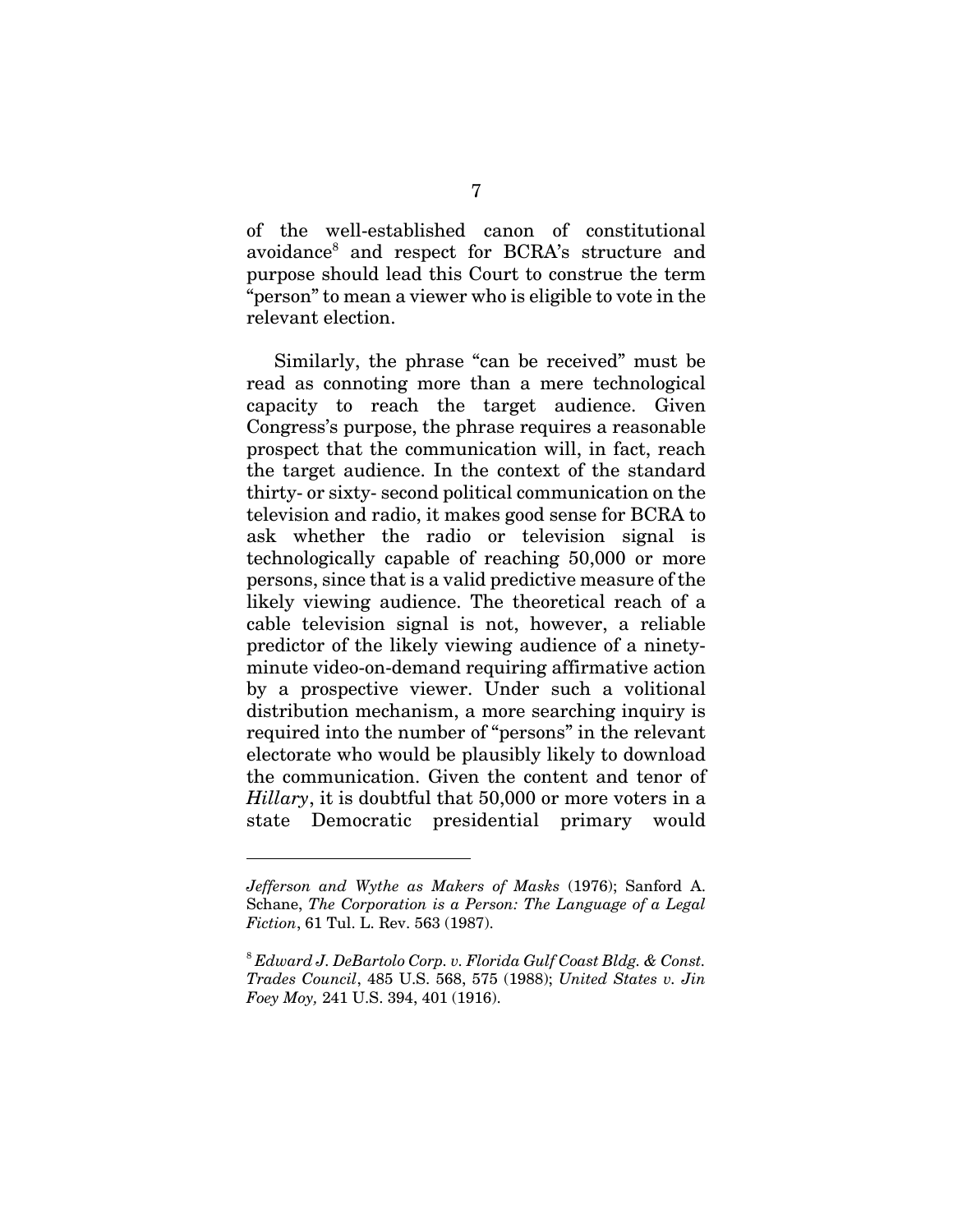of the well-established canon of constitutional avoidance<sup>8</sup> and respect for BCRA's structure and purpose should lead this Court to construe the term "person" to mean a viewer who is eligible to vote in the relevant election.

Similarly, the phrase "can be received" must be read as connoting more than a mere technological capacity to reach the target audience. Given Congress's purpose, the phrase requires a reasonable prospect that the communication will, in fact, reach the target audience. In the context of the standard thirty- or sixty- second political communication on the television and radio, it makes good sense for BCRA to ask whether the radio or television signal is technologically capable of reaching 50,000 or more persons, since that is a valid predictive measure of the likely viewing audience. The theoretical reach of a cable television signal is not, however, a reliable predictor of the likely viewing audience of a ninetyminute video-on-demand requiring affirmative action by a prospective viewer. Under such a volitional distribution mechanism, a more searching inquiry is required into the number of "persons" in the relevant electorate who would be plausibly likely to download the communication. Given the content and tenor of *Hillary*, it is doubtful that 50,000 or more voters in a state Democratic presidential primary would

*Jefferson and Wythe as Makers of Masks* (1976); Sanford A. Schane, *The Corporation is a Person: The Language of a Legal Fiction*, 61 Tul. L. Rev. 563 (1987).

<sup>8</sup> *Edward J. DeBartolo Corp. v. Florida Gulf Coast Bldg. & Const. Trades Council*, 485 U.S. 568, 575 (1988); *United States v. Jin Foey Moy,* 241 U.S. 394, 401 (1916).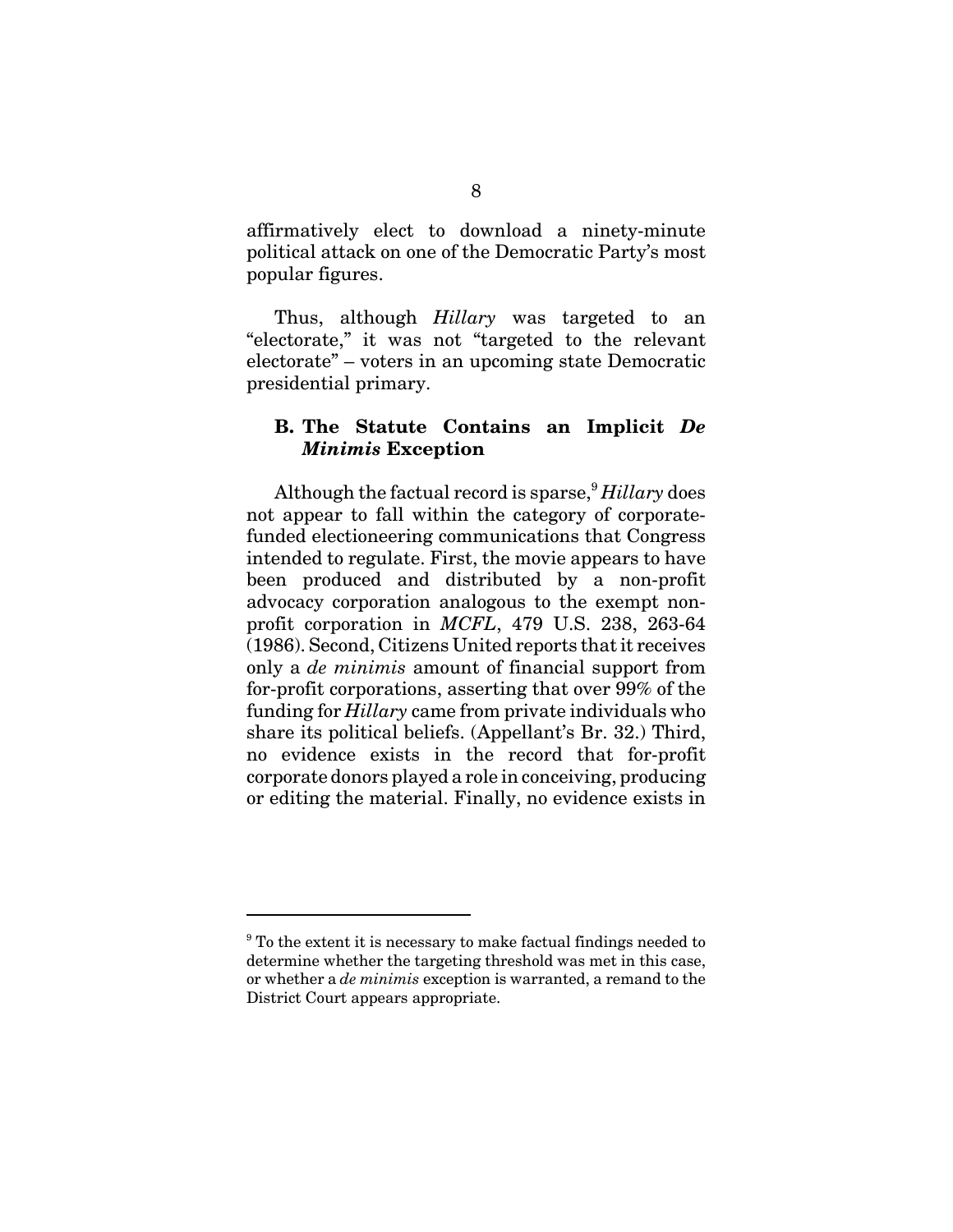affirmatively elect to download a ninety-minute political attack on one of the Democratic Party's most popular figures.

Thus, although *Hillary* was targeted to an "electorate," it was not "targeted to the relevant electorate" – voters in an upcoming state Democratic presidential primary.

### **B. The Statute Contains an Implicit** *De Minimis* **Exception**

Although the factual record is sparse,<sup>9</sup> *Hillary* does not appear to fall within the category of corporatefunded electioneering communications that Congress intended to regulate. First, the movie appears to have been produced and distributed by a non-profit advocacy corporation analogous to the exempt nonprofit corporation in *MCFL*, 479 U.S. 238, 263-64 (1986). Second, Citizens United reports that it receives only a *de minimis* amount of financial support from for-profit corporations, asserting that over 99% of the funding for *Hillary* came from private individuals who share its political beliefs. (Appellant's Br. 32.) Third, no evidence exists in the record that for-profit corporate donors played a role in conceiving, producing or editing the material. Finally, no evidence exists in

<sup>&</sup>lt;sup>9</sup> To the extent it is necessary to make factual findings needed to determine whether the targeting threshold was met in this case, or whether a *de minimis* exception is warranted, a remand to the District Court appears appropriate.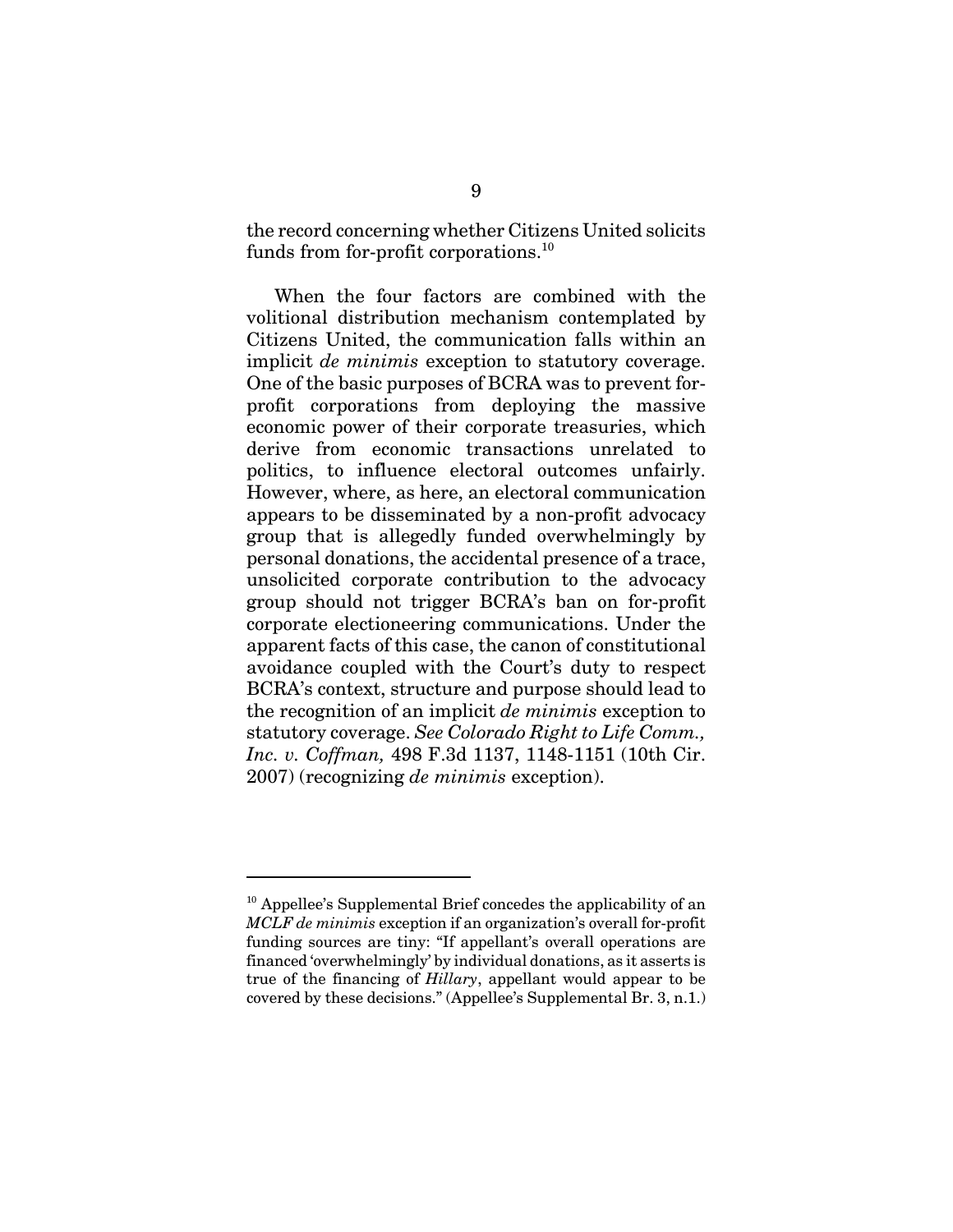the record concerning whether Citizens United solicits funds from for-profit corporations.<sup>10</sup>

When the four factors are combined with the volitional distribution mechanism contemplated by Citizens United, the communication falls within an implicit *de minimis* exception to statutory coverage. One of the basic purposes of BCRA was to prevent forprofit corporations from deploying the massive economic power of their corporate treasuries, which derive from economic transactions unrelated to politics, to influence electoral outcomes unfairly. However, where, as here, an electoral communication appears to be disseminated by a non-profit advocacy group that is allegedly funded overwhelmingly by personal donations, the accidental presence of a trace, unsolicited corporate contribution to the advocacy group should not trigger BCRA's ban on for-profit corporate electioneering communications. Under the apparent facts of this case, the canon of constitutional avoidance coupled with the Court's duty to respect BCRA's context, structure and purpose should lead to the recognition of an implicit *de minimis* exception to statutory coverage. *See Colorado Right to Life Comm., Inc. v. Coffman,* 498 F.3d 1137, 1148-1151 (10th Cir. 2007) (recognizing *de minimis* exception).

 $10$  Appellee's Supplemental Brief concedes the applicability of an *MCLF de minimis* exception if an organization's overall for-profit funding sources are tiny: "If appellant's overall operations are financed 'overwhelmingly' by individual donations, as it asserts is true of the financing of *Hillary*, appellant would appear to be covered by these decisions." (Appellee's Supplemental Br. 3, n.1.)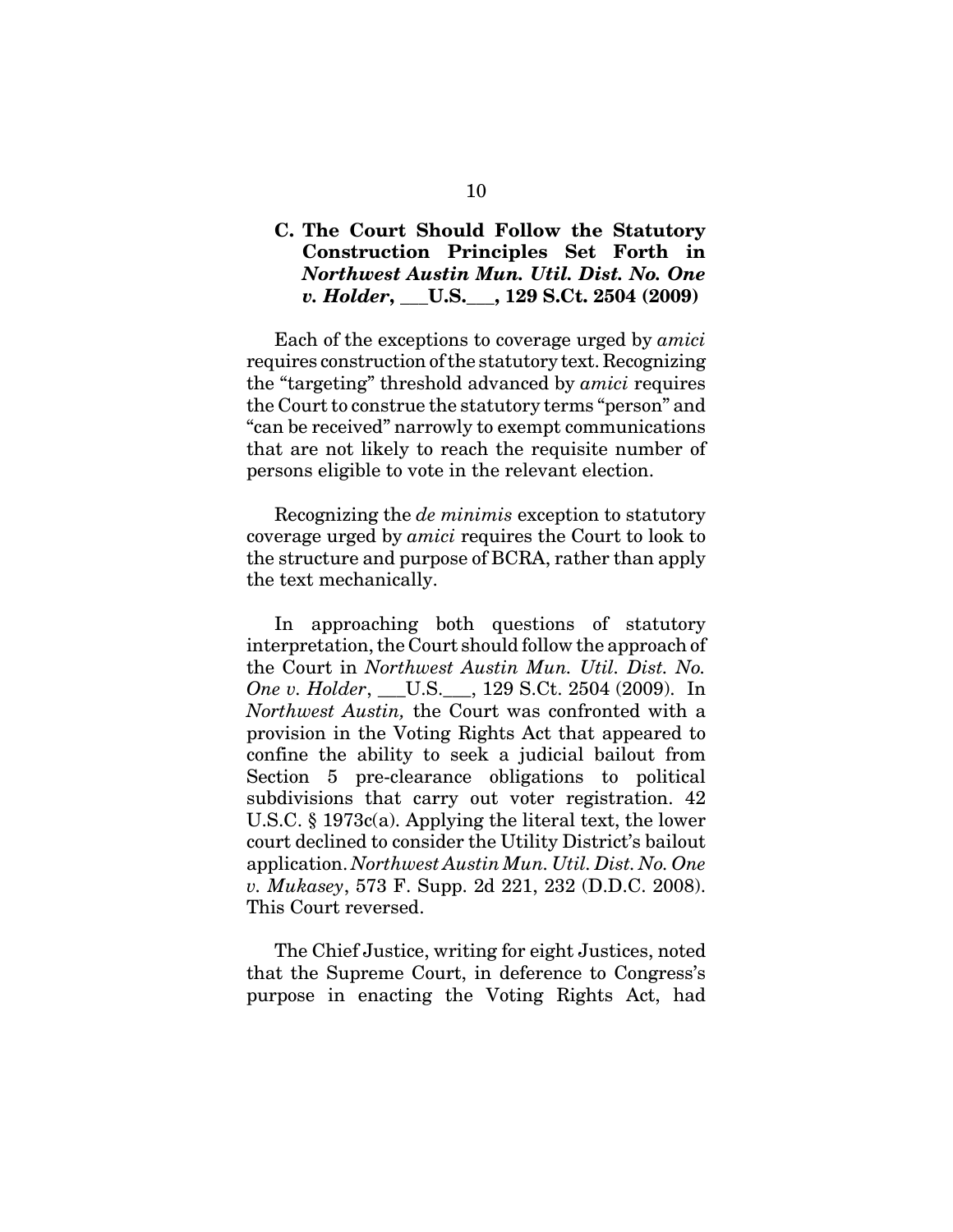### **C. The Court Should Follow the Statutory Construction Principles Set Forth in** *Northwest Austin Mun. Util. Dist. No. One v. Holder***, \_\_\_U.S.\_\_\_, 129 S.Ct. 2504 (2009)**

Each of the exceptions to coverage urged by *amici* requires construction of the statutory text. Recognizing the "targeting" threshold advanced by *amici* requires the Court to construe the statutory terms "person" and "can be received" narrowly to exempt communications that are not likely to reach the requisite number of persons eligible to vote in the relevant election.

Recognizing the *de minimis* exception to statutory coverage urged by *amici* requires the Court to look to the structure and purpose of BCRA, rather than apply the text mechanically.

In approaching both questions of statutory interpretation, the Court should follow the approach of the Court in *Northwest Austin Mun. Util. Dist. No. One v. Holder*, \_\_\_U.S.\_\_\_, 129 S.Ct. 2504 (2009). In *Northwest Austin,* the Court was confronted with a provision in the Voting Rights Act that appeared to confine the ability to seek a judicial bailout from Section 5 pre-clearance obligations to political subdivisions that carry out voter registration. 42 U.S.C. § 1973c(a). Applying the literal text, the lower court declined to consider the Utility District's bailout application. *Northwest Austin Mun. Util. Dist. No. One v. Mukasey*, 573 F. Supp. 2d 221, 232 (D.D.C. 2008). This Court reversed.

The Chief Justice, writing for eight Justices, noted that the Supreme Court, in deference to Congress's purpose in enacting the Voting Rights Act, had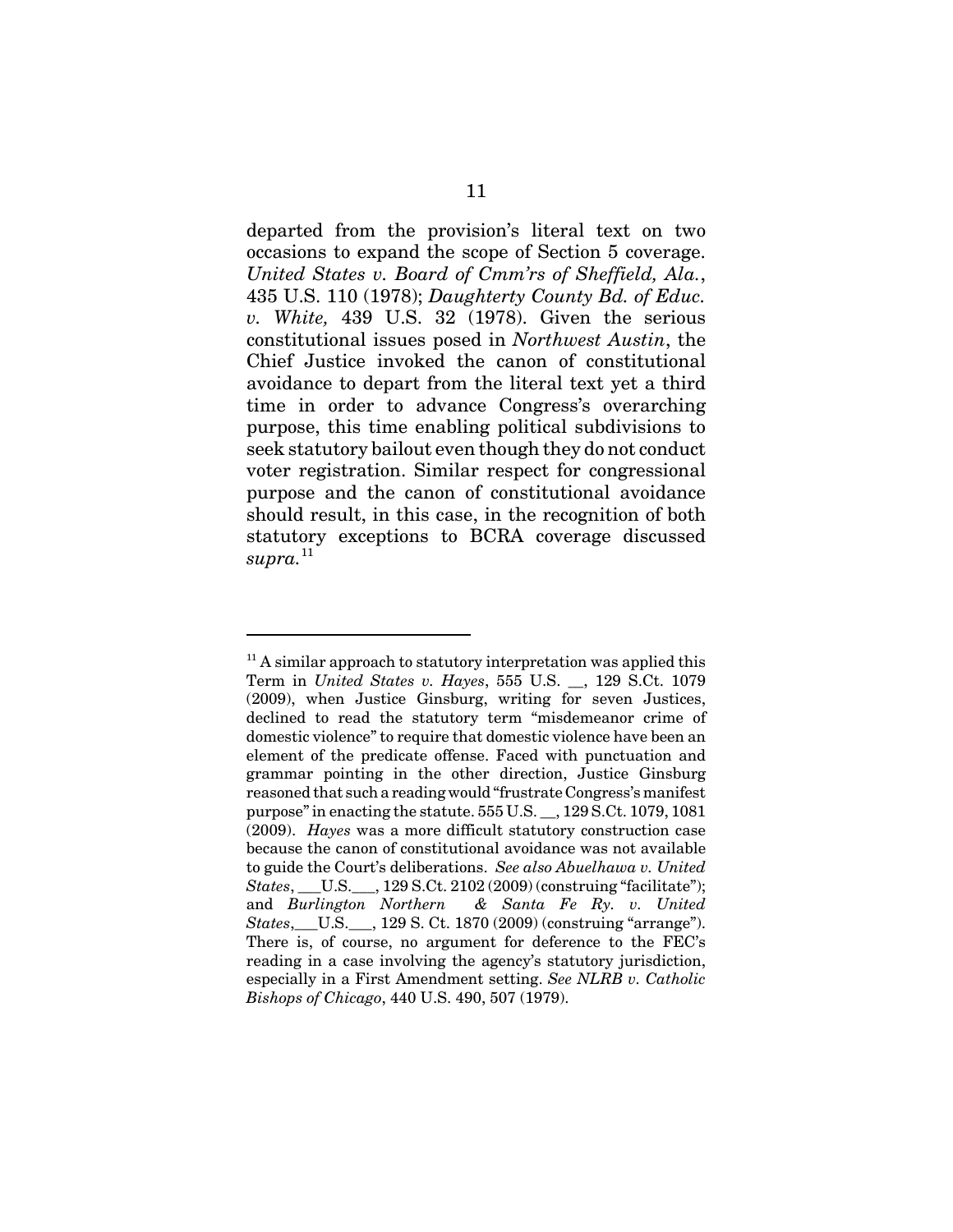departed from the provision's literal text on two occasions to expand the scope of Section 5 coverage. *United States v. Board of Cmm'rs of Sheffield, Ala.*, 435 U.S. 110 (1978); *Daughterty County Bd. of Educ. v. White,* 439 U.S. 32 (1978). Given the serious constitutional issues posed in *Northwest Austin*, the Chief Justice invoked the canon of constitutional avoidance to depart from the literal text yet a third time in order to advance Congress's overarching purpose, this time enabling political subdivisions to seek statutory bailout even though they do not conduct voter registration. Similar respect for congressional purpose and the canon of constitutional avoidance should result, in this case, in the recognition of both statutory exceptions to BCRA coverage discussed  $$ 

 $11$ <sup>11</sup> A similar approach to statutory interpretation was applied this Term in *United States v. Hayes*, 555 U.S. \_\_, 129 S.Ct. 1079 (2009), when Justice Ginsburg, writing for seven Justices, declined to read the statutory term "misdemeanor crime of domestic violence" to require that domestic violence have been an element of the predicate offense. Faced with punctuation and grammar pointing in the other direction, Justice Ginsburg reasoned that such a reading would "frustrate Congress's manifest purpose" in enacting the statute. 555 U.S. \_\_, 129 S.Ct. 1079, 1081 (2009). *Hayes* was a more difficult statutory construction case because the canon of constitutional avoidance was not available to guide the Court's deliberations. *See also Abuelhawa v. United States*, U.S. , 129 S.Ct. 2102 (2009) (construing "facilitate"); and *Burlington Northern & Santa Fe Ry. v. United States*, U.S. , 129 S. Ct. 1870 (2009) (construing "arrange"). There is, of course, no argument for deference to the FEC's reading in a case involving the agency's statutory jurisdiction, especially in a First Amendment setting. *See NLRB v. Catholic Bishops of Chicago*, 440 U.S. 490, 507 (1979).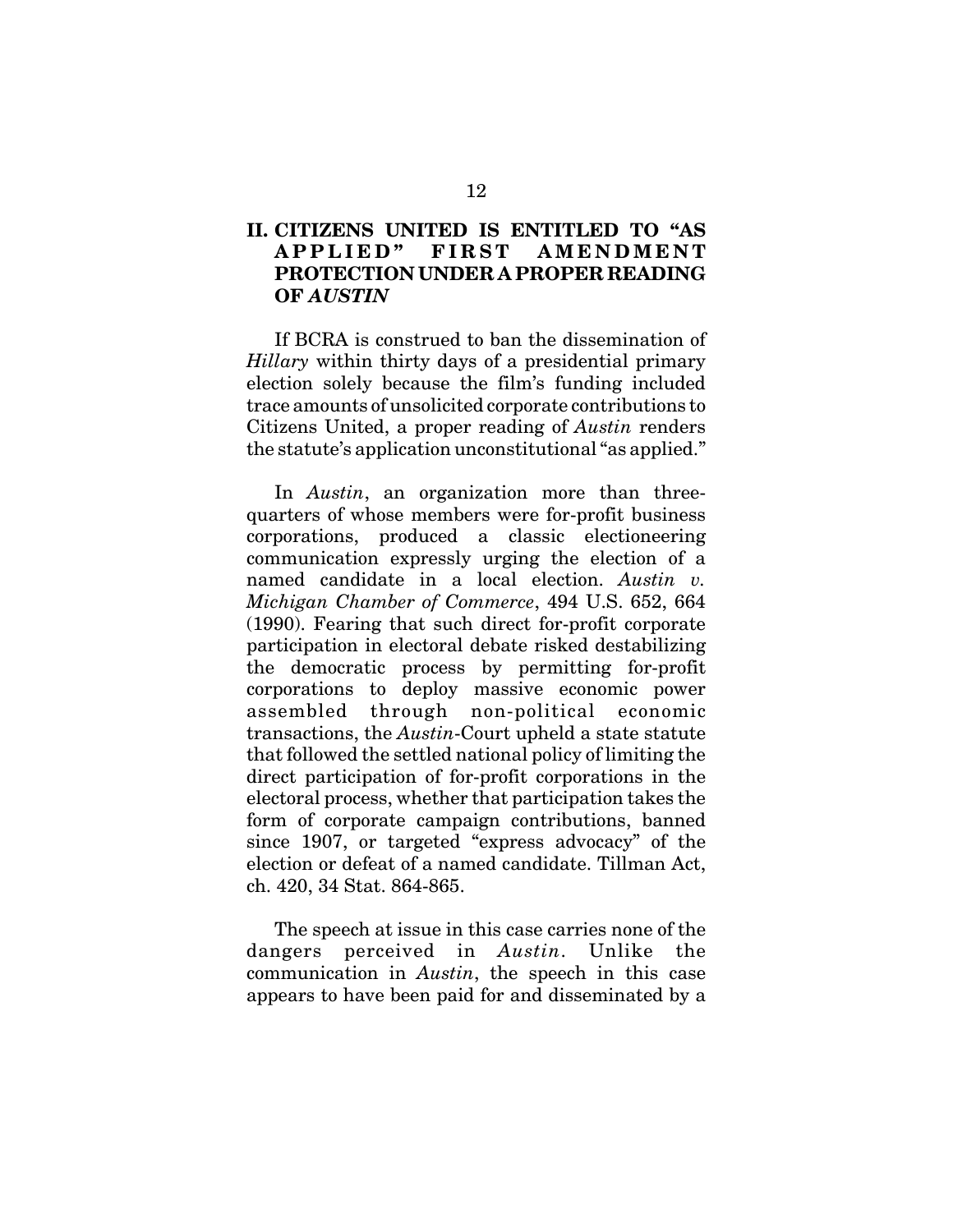### **II. CITIZENS UNITED IS ENTITLED TO "AS APPLIED" FIRST AMENDMENT PROTECTION UNDER A PROPER READING OF** *AUSTIN*

If BCRA is construed to ban the dissemination of *Hillary* within thirty days of a presidential primary election solely because the film's funding included trace amounts of unsolicited corporate contributions to Citizens United, a proper reading of *Austin* renders the statute's application unconstitutional "as applied."

In *Austin*, an organization more than threequarters of whose members were for-profit business corporations, produced a classic electioneering communication expressly urging the election of a named candidate in a local election. *Austin v. Michigan Chamber of Commerce*, 494 U.S. 652, 664 (1990). Fearing that such direct for-profit corporate participation in electoral debate risked destabilizing the democratic process by permitting for-profit corporations to deploy massive economic power assembled through non-political economic transactions, the *Austin*-Court upheld a state statute that followed the settled national policy of limiting the direct participation of for-profit corporations in the electoral process, whether that participation takes the form of corporate campaign contributions, banned since 1907, or targeted "express advocacy" of the election or defeat of a named candidate. Tillman Act, ch. 420, 34 Stat. 864-865.

The speech at issue in this case carries none of the dangers perceived in *Austin*. Unlike the communication in *Austin*, the speech in this case appears to have been paid for and disseminated by a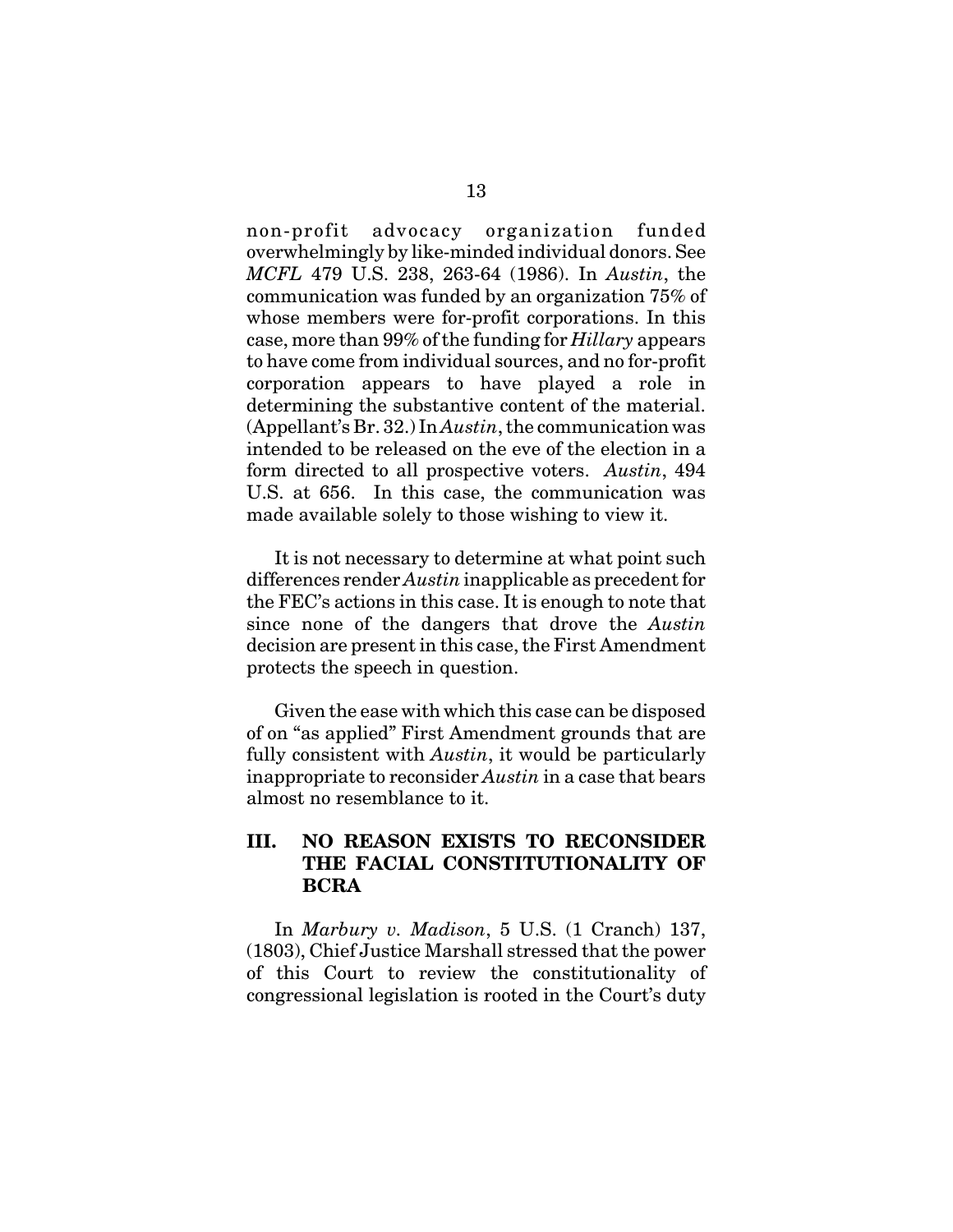non-profit advocacy organization funded overwhelmingly by like-minded individual donors. See *MCFL* 479 U.S. 238, 263-64 (1986). In *Austin*, the communication was funded by an organization 75% of whose members were for-profit corporations. In this case, more than 99% of the funding for *Hillary* appears to have come from individual sources, and no for-profit corporation appears to have played a role in determining the substantive content of the material. (Appellant's Br. 32.) In *Austin*, the communication was intended to be released on the eve of the election in a form directed to all prospective voters. *Austin*, 494 U.S. at 656. In this case, the communication was made available solely to those wishing to view it.

It is not necessary to determine at what point such differences render *Austin* inapplicable as precedent for the FEC's actions in this case. It is enough to note that since none of the dangers that drove the *Austin* decision are present in this case, the First Amendment protects the speech in question.

Given the ease with which this case can be disposed of on "as applied" First Amendment grounds that are fully consistent with *Austin*, it would be particularly inappropriate to reconsider *Austin* in a case that bears almost no resemblance to it.

### **III. NO REASON EXISTS TO RECONSIDER THE FACIAL CONSTITUTIONALITY OF BCRA**

In *Marbury v. Madison*, 5 U.S. (1 Cranch) 137, (1803), Chief Justice Marshall stressed that the power of this Court to review the constitutionality of congressional legislation is rooted in the Court's duty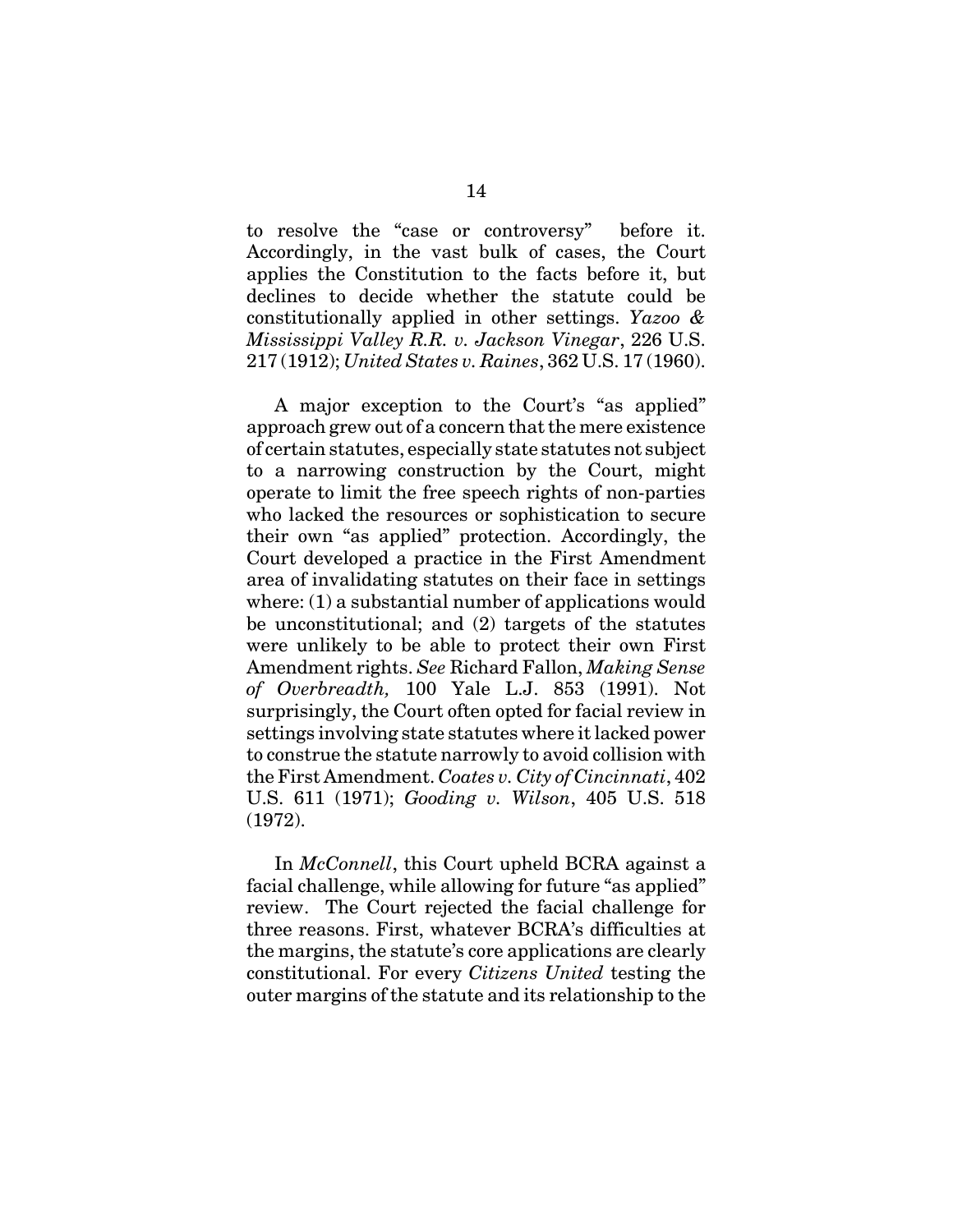to resolve the "case or controversy" before it. Accordingly, in the vast bulk of cases, the Court applies the Constitution to the facts before it, but declines to decide whether the statute could be constitutionally applied in other settings. *Yazoo & Mississippi Valley R.R. v. Jackson Vinegar*, 226 U.S. 217 (1912); *United States v. Raines*, 362 U.S. 17 (1960).

A major exception to the Court's "as applied" approach grew out of a concern that the mere existence of certain statutes, especially state statutes not subject to a narrowing construction by the Court, might operate to limit the free speech rights of non-parties who lacked the resources or sophistication to secure their own "as applied" protection. Accordingly, the Court developed a practice in the First Amendment area of invalidating statutes on their face in settings where: (1) a substantial number of applications would be unconstitutional; and (2) targets of the statutes were unlikely to be able to protect their own First Amendment rights. *See* Richard Fallon, *Making Sense of Overbreadth,* 100 Yale L.J. 853 (1991). Not surprisingly, the Court often opted for facial review in settings involving state statutes where it lacked power to construe the statute narrowly to avoid collision with the First Amendment. *Coates v. City of Cincinnati*, 402 U.S. 611 (1971); *Gooding v. Wilson*, 405 U.S. 518 (1972).

In *McConnell*, this Court upheld BCRA against a facial challenge, while allowing for future "as applied" review. The Court rejected the facial challenge for three reasons. First, whatever BCRA's difficulties at the margins, the statute's core applications are clearly constitutional. For every *Citizens United* testing the outer margins of the statute and its relationship to the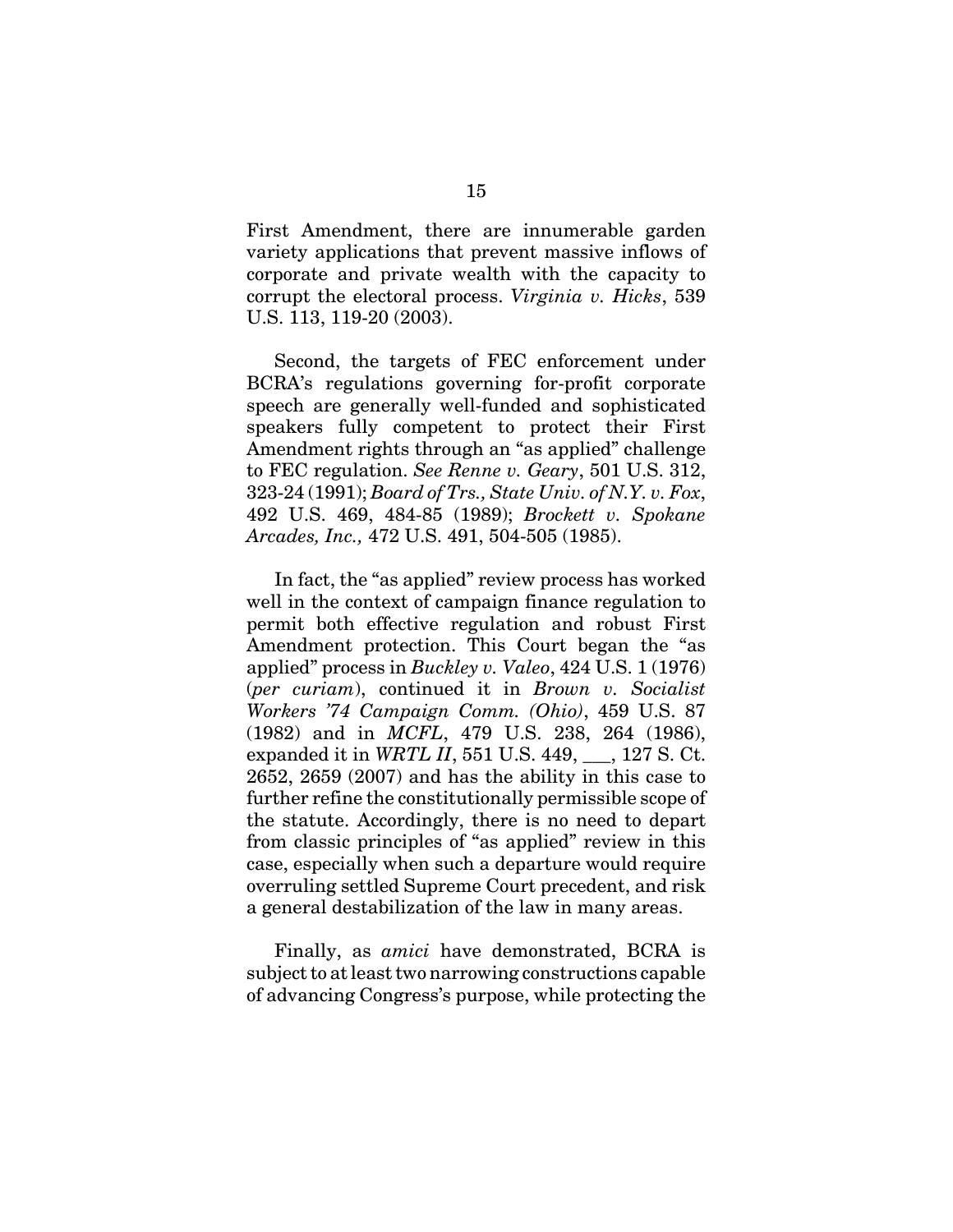First Amendment, there are innumerable garden variety applications that prevent massive inflows of corporate and private wealth with the capacity to corrupt the electoral process. *Virginia v. Hicks*, 539 U.S. 113, 119-20 (2003).

Second, the targets of FEC enforcement under BCRA's regulations governing for-profit corporate speech are generally well-funded and sophisticated speakers fully competent to protect their First Amendment rights through an "as applied" challenge to FEC regulation. *See Renne v. Geary*, 501 U.S. 312, 323-24 (1991); *Board of Trs., State Univ. of N.Y. v. Fox*, 492 U.S. 469, 484-85 (1989); *Brockett v. Spokane Arcades, Inc.,* 472 U.S. 491, 504-505 (1985).

In fact, the "as applied" review process has worked well in the context of campaign finance regulation to permit both effective regulation and robust First Amendment protection. This Court began the "as applied" process in *Buckley v. Valeo*, 424 U.S. 1 (1976) (*per curiam*), continued it in *Brown v. Socialist Workers '74 Campaign Comm. (Ohio)*, 459 U.S. 87 (1982) and in *MCFL*, 479 U.S. 238, 264 (1986), expanded it in *WRTL II*, 551 U.S. 449, \_\_\_, 127 S. Ct. 2652, 2659 (2007) and has the ability in this case to further refine the constitutionally permissible scope of the statute. Accordingly, there is no need to depart from classic principles of "as applied" review in this case, especially when such a departure would require overruling settled Supreme Court precedent, and risk a general destabilization of the law in many areas.

Finally, as *amici* have demonstrated, BCRA is subject to at least two narrowing constructions capable of advancing Congress's purpose, while protecting the